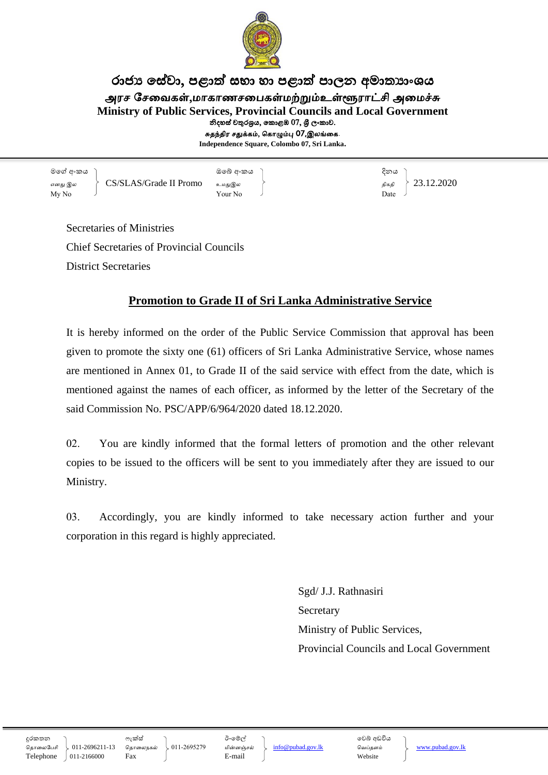

## රාජා සේවා, පළාත් සභා හා පළාත් පාලන අමාතාාංශය

அரச சேவைகள்,மாகாணசபைகள்மற்றும்உள்ளூராட்சி அமைச்சு

**Ministry of Public Services, Provincial Councils and Local Government**

නිදහස් චතුරශුය, කොළඹ 07, ශුී ලංකාව.

சுதந்திர சதுக்கம், ககாழும்பு 07,இலங்வக.

**Independence Square, Colombo 07, Sri Lanka.**

මගේ අංකය ) අංක දෙකය මගේ අංකය ) අංක දෙකය දිනය எனது இல  $\qquad \left\{\begin{array}{c} \mathrm{CS}/\mathrm{SLAS}/\mathrm{Grade\ II\ Promo} \end{array} \right. \quad \left. \right\} \quad \left. \right\} \quad \left. \right\} \quad \left. \right\} \quad \left. \right\} \quad \left. 23.12.2020 \end{array}$  $\begin{array}{ccc} \text{My No} & \end{array}$ 

Secretaries of Ministries Chief Secretaries of Provincial Councils District Secretaries

## **Promotion to Grade II of Sri Lanka Administrative Service**

It is hereby informed on the order of the Public Service Commission that approval has been given to promote the sixty one (61) officers of Sri Lanka Administrative Service, whose names are mentioned in Annex 01, to Grade II of the said service with effect from the date, which is mentioned against the names of each officer, as informed by the letter of the Secretary of the said Commission No. PSC/APP/6/964/2020 dated 18.12.2020.

02. You are kindly informed that the formal letters of promotion and the other relevant copies to be issued to the officers will be sent to you immediately after they are issued to our Ministry.

03. Accordingly, you are kindly informed to take necessary action further and your corporation in this regard is highly appreciated.

> Sgd/ J.J. Rathnasiri **Secretary** Ministry of Public Services, Provincial Councils and Local Government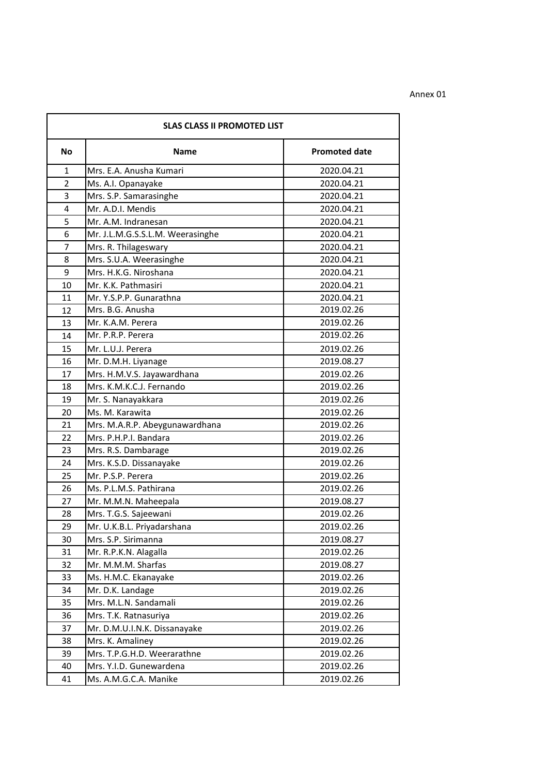| <b>SLAS CLASS II PROMOTED LIST</b> |                                  |                      |  |
|------------------------------------|----------------------------------|----------------------|--|
| <b>No</b>                          | <b>Name</b>                      | <b>Promoted date</b> |  |
| $\mathbf{1}$                       | Mrs. E.A. Anusha Kumari          | 2020.04.21           |  |
| $\overline{2}$                     | Ms. A.I. Opanayake               | 2020.04.21           |  |
| 3                                  | Mrs. S.P. Samarasinghe           | 2020.04.21           |  |
| 4                                  | Mr. A.D.I. Mendis                | 2020.04.21           |  |
| 5                                  | Mr. A.M. Indranesan              | 2020.04.21           |  |
| 6                                  | Mr. J.L.M.G.S.S.L.M. Weerasinghe | 2020.04.21           |  |
| 7                                  | Mrs. R. Thilageswary             | 2020.04.21           |  |
| 8                                  | Mrs. S.U.A. Weerasinghe          | 2020.04.21           |  |
| 9                                  | Mrs. H.K.G. Niroshana            | 2020.04.21           |  |
| 10                                 | Mr. K.K. Pathmasiri              | 2020.04.21           |  |
| 11                                 | Mr. Y.S.P.P. Gunarathna          | 2020.04.21           |  |
| 12                                 | Mrs. B.G. Anusha                 | 2019.02.26           |  |
| 13                                 | Mr. K.A.M. Perera                | 2019.02.26           |  |
| 14                                 | Mr. P.R.P. Perera                | 2019.02.26           |  |
| 15                                 | Mr. L.U.J. Perera                | 2019.02.26           |  |
| 16                                 | Mr. D.M.H. Liyanage              | 2019.08.27           |  |
| 17                                 | Mrs. H.M.V.S. Jayawardhana       | 2019.02.26           |  |
| 18                                 | Mrs. K.M.K.C.J. Fernando         | 2019.02.26           |  |
| 19                                 | Mr. S. Nanayakkara               | 2019.02.26           |  |
| 20                                 | Ms. M. Karawita                  | 2019.02.26           |  |
| 21                                 | Mrs. M.A.R.P. Abeygunawardhana   | 2019.02.26           |  |
| 22                                 | Mrs. P.H.P.I. Bandara            | 2019.02.26           |  |
| 23                                 | Mrs. R.S. Dambarage              | 2019.02.26           |  |
| 24                                 | Mrs. K.S.D. Dissanayake          | 2019.02.26           |  |
| 25                                 | Mr. P.S.P. Perera                | 2019.02.26           |  |
| 26                                 | Ms. P.L.M.S. Pathirana           | 2019.02.26           |  |
| 27                                 | Mr. M.M.N. Maheepala             | 2019.08.27           |  |
| 28                                 | Mrs. T.G.S. Sajeewani            | 2019.02.26           |  |
| 29                                 | Mr. U.K.B.L. Priyadarshana       | 2019.02.26           |  |
| 30                                 | Mrs. S.P. Sirimanna              | 2019.08.27           |  |
| 31                                 | Mr. R.P.K.N. Alagalla            | 2019.02.26           |  |
| 32                                 | Mr. M.M.M. Sharfas               | 2019.08.27           |  |
| 33                                 | Ms. H.M.C. Ekanayake             | 2019.02.26           |  |
| 34                                 | Mr. D.K. Landage                 | 2019.02.26           |  |
| 35                                 | Mrs. M.L.N. Sandamali            | 2019.02.26           |  |
| 36                                 | Mrs. T.K. Ratnasuriya            | 2019.02.26           |  |
| 37                                 | Mr. D.M.U.I.N.K. Dissanayake     | 2019.02.26           |  |
| 38                                 | Mrs. K. Amaliney                 | 2019.02.26           |  |
| 39                                 | Mrs. T.P.G.H.D. Weerarathne      | 2019.02.26           |  |
| 40                                 | Mrs. Y.I.D. Gunewardena          | 2019.02.26           |  |
| 41                                 | Ms. A.M.G.C.A. Manike            | 2019.02.26           |  |